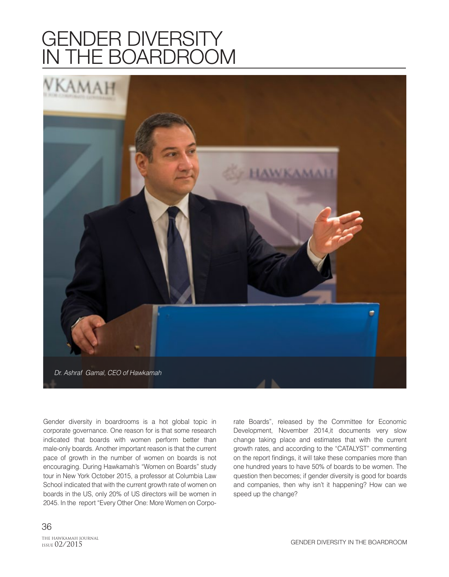## GENDER DIVERSITY IN THE BOARDROOM



Gender diversity in boardrooms is a hot global topic in corporate governance. One reason for is that some research indicated that boards with women perform better than male-only boards. Another important reason is that the current pace of growth in the number of women on boards is not encouraging. During Hawkamah's "Women on Boards" study tour in New York October 2015, a professor at Columbia Law School indicated that with the current growth rate of women on boards in the US, only 20% of US directors will be women in 2045. In the report "Every Other One: More Women on Corporate Boards", released by the Committee for Economic Development, November 2014,it documents very slow change taking place and estimates that with the current growth rates, and according to the "CATALYST" commenting on the report findings, it will take these companies more than one hundred years to have 50% of boards to be women. The question then becomes; if gender diversity is good for boards and companies, then why isn't it happening? How can we speed up the change?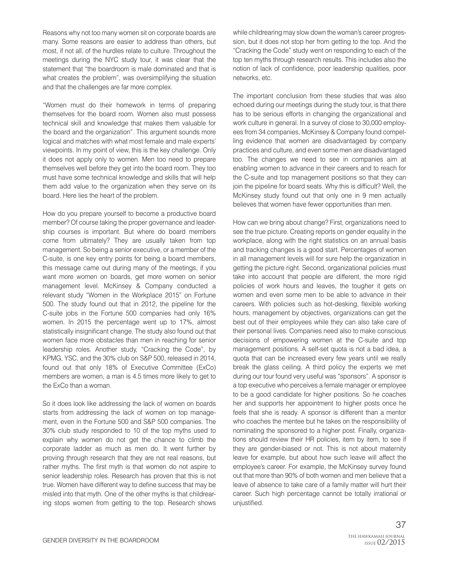Reasons why not too many women sit on corporate boards are many. Some reasons are easier to address than others, but most, if not all, of the hurdles relate to culture. Throughout the meetings during the NYC study tour, it was clear that the statement that "the boardroom is male dominated and that is what creates the problem", was oversimplifying the situation and that the challenges are far more complex.

"Women must do their homework in terms of preparing themselves for the board room. Women also must possess technical skill and knowledge that makes them valuable for the board and the organization". This argument sounds more logical and matches with what most female and male experts' viewpoints. In my point of view, this is the key challenge. Only it does not apply only to women. Men too need to prepare themselves well before they get into the board room. They too must have some technical knowledge and skills that will help them add value to the organization when they serve on its board. Here lies the heart of the problem.

How do you prepare yourself to become a productive board member? Of course taking the proper governance and leadership courses is important. But where do board members come from ultimately? They are usually taken from top management. So being a senior executive, or a member of the C-suite, is one key entry points for being a board members, this message came out during many of the meetings, if you want more women on boards, get more women on senior management level. McKinsey & Company conducted a relevant study "Women in the Workplace 2015" on Fortune 500. The study found out that in 2012, the pipeline for the C-suite jobs in the Fortune 500 companies had only 16% women. In 2015 the percentage went up to 17%, almost statistically insignificant change. The study also found out that women face more obstacles than men in reaching for senior leadership roles. Another study, "Cracking the Code", by KPMG, YSC, and the 30% club on S&P 500, released in 2014, found out that only 18% of Executive Committee (ExCo) members are women, a man is 4.5 times more likely to get to the ExCo than a woman.

So it does look like addressing the lack of women on boards starts from addressing the lack of women on top management, even in the Fortune 500 and S&P 500 companies. The 30% club study responded to 10 of the top myths used to explain why women do not get the chance to climb the corporate ladder as much as men do. It went further by proving through research that they are not real reasons, but rather myths. The first myth is that women do not aspire to senior leadership roles. Research has proven that this is not true. Women have different way to define success that may be misled into that myth. One of the other myths is that childrearing stops women from getting to the top. Research shows while childrearing may slow down the woman's career progression, but it does not stop her from getting to the top. And the "Cracking the Code" study went on responding to each of the top ten myths through research results. This includes also the notion of lack of confidence, poor leadership qualities, poor networks, etc.

The important conclusion from these studies that was also echoed during our meetings during the study tour, is that there has to be serious efforts in changing the organizational and work culture in general. In a survey of close to 30,000 employees from 34 companies, McKinsey & Company found compelling evidence that women are disadvantaged by company practices and culture, and even some men are disadvantaged too. The changes we need to see in companies aim at enabling women to advance in their careers and to reach for the C-suite and top management positions so that they can join the pipeline for board seats. Why this is difficult? Well, the McKinsey study found out that only one in 9 men actually believes that women have fewer opportunities than men.

How can we bring about change? First, organizations need to see the true picture. Creating reports on gender equality in the workplace, along with the right statistics on an annual basis and tracking changes is a good start. Percentages of women in all management levels will for sure help the organization in getting the picture right. Second, organizational policies must take into account that people are different, the more rigid policies of work hours and leaves, the tougher it gets on women and even some men to be able to advance in their careers. With policies such as hot-desking, flexible working hours, management by objectives, organizations can get the best out of their employees while they can also take care of their personal lives. Companies need also to make conscious decisions of empowering women at the C-suite and top management positions. A self-set quota is not a bad idea, a quota that can be increased every few years until we really break the glass ceiling. A third policy the experts we met during our tour found very useful was "sponsors". A sponsor is a top executive who perceives a female manager or employee to be a good candidate for higher positions. So he coaches her and supports her appointment to higher posts once he feels that she is ready. A sponsor is different than a mentor who coaches the mentee but he takes on the responsibility of nominating the sponsored to a higher post. Finally, organizations should review their HR policies, item by item, to see if they are gender-biased or not. This is not about maternity leave for example, but about how such leave will affect the employee's career. For example, the McKinsey survey found out that more than 90% of both women and men believe that a leave of absence to take care of a family matter will hurt their career. Such high percentage cannot be totally irrational or unjustified.